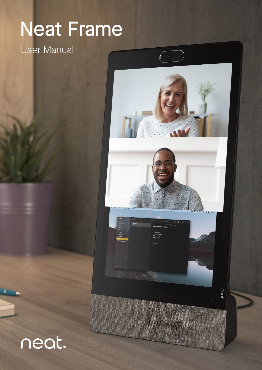# Neat Frame

### User Manual



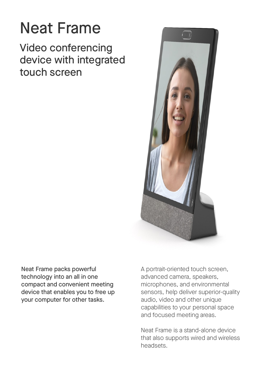### Neat Frame

Video conferencing device with integrated touch screen



Neat Frame packs powerful technology into an all in one compact and convenient meeting device that enables you to free up your computer for other tasks.

A portrait-oriented touch screen, advanced camera, speakers, microphones, and environmental sensors, help deliver superior-quality audio, video and other unique capabilities to your personal space and focused meeting areas.

Neat Frame is a stand-alone device that also supports wired and wireless headsets.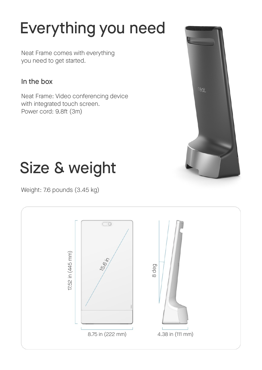## Everything you need

Neat Frame comes with everything you need to get started.

### In the box

Neat Frame: Video conferencing device with integrated touch screen. Power cord: 9.8ft (3m)



### Size & weight

Weight: 7.6 pounds (3.45 kg)